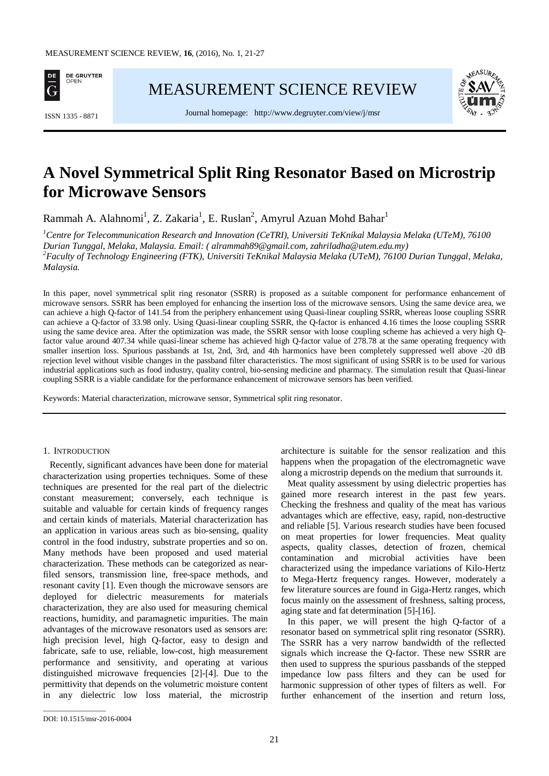

[MEASUREMENT SCIENCE REVIEW](http://www.measurement.sk/)



Journal homepage: <http://www.degruyter.com/view/j/msr> ISSN 1335 - <sup>8871</sup>

# **A Novel Symmetrical Split Ring Resonator Based on Microstrip for Microwave Sensors**

Rammah A. Alahnomi<sup>1</sup>, Z. Zakaria<sup>1</sup>, E. Ruslan<sup>2</sup>, Amyrul Azuan Mohd Bahar<sup>1</sup>

*1 Centre for Telecommunication Research and Innovation (CeTRI), Universiti TeKnikal Malaysia Melaka (UTeM), 76100 Durian Tunggal, Melaka, Malaysia. Email: ( alrammah89@gmail.com, zahriladha@utem.edu.my) 2 Faculty of Technology Engineering (FTK), Universiti TeKnikal Malaysia Melaka (UTeM), 76100 Durian Tunggal, Melaka, Malaysia.*

In this paper, novel symmetrical split ring resonator (SSRR) is proposed as a suitable component for performance enhancement of microwave sensors. SSRR has been employed for enhancing the insertion loss of the microwave sensors. Using the same device area, we can achieve a high Q-factor of 141.54 from the periphery enhancement using Quasi-linear coupling SSRR, whereas loose coupling SSRR can achieve a Q-factor of 33.98 only. Using Quasi-linear coupling SSRR, the Q-factor is enhanced 4.16 times the loose coupling SSRR using the same device area. After the optimization was made, the SSRR sensor with loose coupling scheme has achieved a very high Qfactor value around 407.34 while quasi-linear scheme has achieved high Q-factor value of 278.78 at the same operating frequency with smaller insertion loss. Spurious passbands at 1st, 2nd, 3rd, and 4th harmonics have been completely suppressed well above -20 dB rejection level without visible changes in the passband filter characteristics. The most significant of using SSRR is to be used for various industrial applications such as food industry, quality control, bio-sensing medicine and pharmacy. The simulation result that Quasi-linear coupling SSRR is a viable candidate for the performance enhancement of microwave sensors has been verified.

Keywords: Material characterization, microwave sensor, Symmetrical split ring resonator.

### 1. INTRODUCTION

Recently, significant advances have been done for material characterization using properties techniques. Some of these techniques are presented for the real part of the dielectric constant measurement; conversely, each technique is suitable and valuable for certain kinds of frequency ranges and certain kinds of materials. Material characterization has an application in various areas such as bio-sensing, quality control in the food industry, substrate properties and so on. Many methods have been proposed and used material characterization. These methods can be categorized as nearfiled sensors, transmission line, free-space methods, and resonant cavity [1]. Even though the microwave sensors are deployed for dielectric measurements for materials characterization, they are also used for measuring chemical reactions, humidity, and paramagnetic impurities. The main advantages of the microwave resonators used as sensors are: high precision level, high Q-factor, easy to design and fabricate, safe to use, reliable, low-cost, high measurement performance and sensitivity, and operating at various distinguished microwave frequencies [2]-[4]. Due to the permittivity that depends on the volumetric moisture content in any dielectric low loss material, the microstrip architecture is suitable for the sensor realization and this happens when the propagation of the electromagnetic wave along a microstrip depends on the medium that surrounds it.

Meat quality assessment by using dielectric properties has gained more research interest in the past few years. Checking the freshness and quality of the meat has various advantages which are effective, easy, rapid, non-destructive and reliable [5]. Various research studies have been focused on meat properties for lower frequencies. Meat quality aspects, quality classes, detection of frozen, chemical contamination and microbial activities have been characterized using the impedance variations of Kilo-Hertz to Mega-Hertz frequency ranges. However, moderately a few literature sources are found in Giga-Hertz ranges, which focus mainly on the assessment of freshness, salting process, aging state and fat determination [5]-[16].

In this paper, we will present the high Q-factor of a resonator based on symmetrical split ring resonator (SSRR). The SSRR has a very narrow bandwidth of the reflected signals which increase the Q-factor. These new SSRR are then used to suppress the spurious passbands of the stepped impedance low pass filters and they can be used for harmonic suppression of other types of filters as well. For further enhancement of the insertion and return loss,

\_\_\_\_\_\_\_\_\_\_\_\_\_\_\_\_\_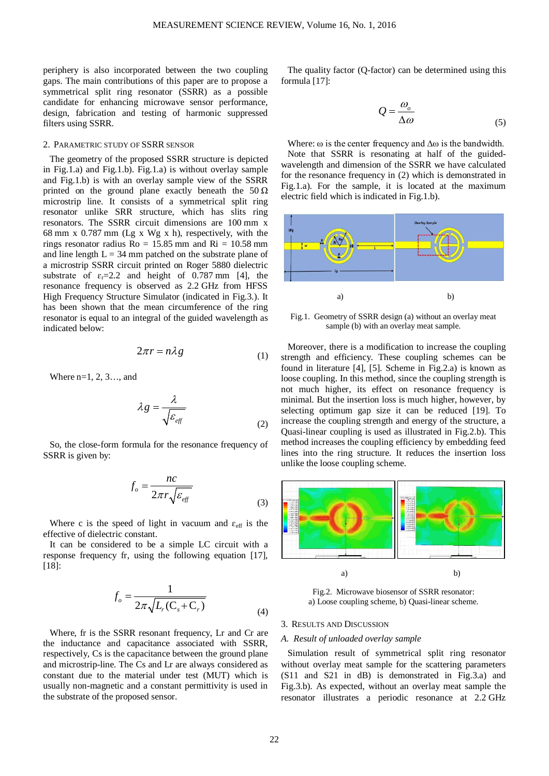periphery is also incorporated between the two coupling gaps. The main contributions of this paper are to propose a symmetrical split ring resonator (SSRR) as a possible candidate for enhancing microwave sensor performance, design, fabrication and testing of harmonic suppressed filters using SSRR.

## 2. PARAMETRIC STUDY OF SSRR SENSOR

The geometry of the proposed SSRR structure is depicted in Fig.1.a) and Fig.1.b). Fig.1.a) is without overlay sample and Fig.1.b) is with an overlay sample view of the SSRR printed on the ground plane exactly beneath the  $50 \Omega$ microstrip line. It consists of a symmetrical split ring resonator unlike SRR structure, which has slits ring resonators. The SSRR circuit dimensions are 100 mm x 68 mm x 0.787 mm (Lg x Wg x h), respectively, with the rings resonator radius  $Ro = 15.85$  mm and  $Ri = 10.58$  mm and line length  $L = 34$  mm patched on the substrate plane of a microstrip SSRR circuit printed on Roger 5880 dielectric substrate of  $\varepsilon_r = 2.2$  and height of 0.787 mm [4], the resonance frequency is observed as 2.2 GHz from HFSS High Frequency Structure Simulator (indicated in Fig.3.). It has been shown that the mean circumference of the ring resonator is equal to an integral of the guided wavelength as indicated below:

$$
2\pi r = n\lambda g \tag{1}
$$

Where n=1, 2, 3…, and

$$
\lambda g = \frac{\lambda}{\sqrt{\varepsilon_{\text{eff}}}}
$$
 (2)

So, the close-form formula for the resonance frequency of SSRR is given by:

$$
f_o = \frac{nc}{2\pi r \sqrt{\varepsilon_{\text{eff}}}}
$$
\n(3)

Where c is the speed of light in vacuum and  $\varepsilon_{\text{eff}}$  is the effective of dielectric constant.

It can be considered to be a simple LC circuit with a response frequency fr, using the following equation [17], [18]:

$$
f_o = \frac{1}{2\pi\sqrt{L_r(C_s + C_r)}}
$$
\n(4)

Where, fr is the SSRR resonant frequency, Lr and Cr are the inductance and capacitance associated with SSRR, respectively, Cs is the capacitance between the ground plane and microstrip-line. The Cs and Lr are always considered as constant due to the material under test (MUT) which is usually non-magnetic and a constant permittivity is used in the substrate of the proposed sensor.

The quality factor (Q-factor) can be determined using this formula [17]:

$$
Q = \frac{\omega_o}{\Delta \omega} \tag{5}
$$

Where:  $\omega$  is the center frequency and  $\Delta\omega$  is the bandwidth. Note that SSRR is resonating at half of the guidedwavelength and dimension of the SSRR we have calculated for the resonance frequency in (2) which is demonstrated in Fig.1.a). For the sample, it is located at the maximum electric field which is indicated in Fig.1.b).



Fig.1. Geometry of SSRR design (a) without an overlay meat sample (b) with an overlay meat sample.

Moreover, there is a modification to increase the coupling strength and efficiency. These coupling schemes can be found in literature [4], [5]. Scheme in Fig.2.a) is known as loose coupling. In this method, since the coupling strength is not much higher, its effect on resonance frequency is minimal. But the insertion loss is much higher, however, by selecting optimum gap size it can be reduced [19]. To increase the coupling strength and energy of the structure, a Quasi-linear coupling is used as illustrated in Fig.2.b). This method increases the coupling efficiency by embedding feed lines into the ring structure. It reduces the insertion loss unlike the loose coupling scheme.



Fig.2. Microwave biosensor of SSRR resonator: a) Loose coupling scheme, b) Quasi-linear scheme.

#### 3. RESULTS AND DISCUSSION

#### *A. Result of unloaded overlay sample*

Simulation result of symmetrical split ring resonator without overlay meat sample for the scattering parameters (S11 and S21 in dB) is demonstrated in Fig.3.a) and Fig.3.b). As expected, without an overlay meat sample the resonator illustrates a periodic resonance at 2.2 GHz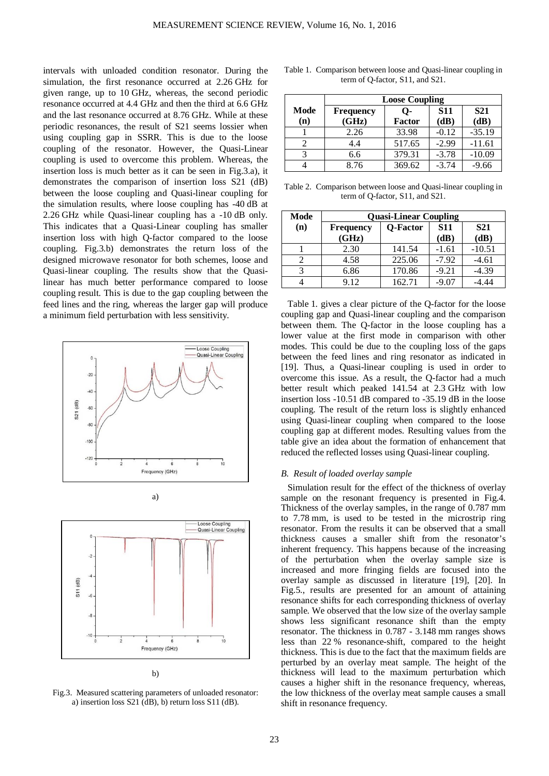intervals with unloaded condition resonator. During the simulation, the first resonance occurred at 2.26 GHz for given range, up to 10 GHz, whereas, the second periodic resonance occurred at 4.4 GHz and then the third at 6.6 GHz and the last resonance occurred at 8.76 GHz. While at these periodic resonances, the result of S21 seems lossier when using coupling gap in SSRR. This is due to the loose coupling of the resonator. However, the Quasi-Linear coupling is used to overcome this problem. Whereas, the insertion loss is much better as it can be seen in Fig.3.a), it demonstrates the comparison of insertion loss S21 (dB) between the loose coupling and Quasi-linear coupling for the simulation results, where loose coupling has -40 dB at 2.26 GHz while Quasi-linear coupling has a -10 dB only. This indicates that a Quasi-Linear coupling has smaller insertion loss with high Q-factor compared to the loose coupling. Fig.3.b) demonstrates the return loss of the designed microwave resonator for both schemes, loose and Quasi-linear coupling. The results show that the Quasilinear has much better performance compared to loose coupling result. This is due to the gap coupling between the feed lines and the ring, whereas the larger gap will produce a minimum field perturbation with less sensitivity.







Fig.3. Measured scattering parameters of unloaded resonator: a) insertion loss S21 (dB), b) return loss S11 (dB).

|             | <b>Loose Coupling</b>     |                     |                    |                    |
|-------------|---------------------------|---------------------|--------------------|--------------------|
| Mode<br>(n) | <b>Frequency</b><br>(GHz) | О-<br><b>Factor</b> | <b>S11</b><br>(dB) | <b>S21</b><br>(dB) |
|             | 2.26                      | 33.98               | $-0.12$            | $-35.19$           |
|             | 4.4                       | 517.65              | $-2.99$            | $-11.61$           |
| 2           | 6.6                       | 379.31              | $-3.78$            | $-10.09$           |
|             | 8.76                      | 369.62              | $-3.74$            | $-9.66$            |

Table 1. Comparison between loose and Quasi-linear coupling in term of Q-factor, S11, and S21.

Table 2. Comparison between loose and Quasi-linear coupling in term of Q-factor, S11, and S21.

| Mode | <b>Quasi-Linear Coupling</b> |                 |            |            |
|------|------------------------------|-----------------|------------|------------|
| (n)  | <b>Frequency</b>             | <b>Q-Factor</b> | <b>S11</b> | <b>S21</b> |
|      | (GHz)                        |                 | (dB)       | (dB)       |
|      | 2.30                         | 141.54          | $-1.61$    | $-10.51$   |
| 2    | 4.58                         | 225.06          | $-7.92$    | $-4.61$    |
| 3    | 6.86                         | 170.86          | $-9.21$    | $-4.39$    |
|      | 9.12                         | 162.71          | -9.07      |            |

Table 1. gives a clear picture of the Q-factor for the loose coupling gap and Quasi-linear coupling and the comparison between them. The Q-factor in the loose coupling has a lower value at the first mode in comparison with other modes. This could be due to the coupling loss of the gaps between the feed lines and ring resonator as indicated in [19]. Thus, a Quasi-linear coupling is used in order to overcome this issue. As a result, the Q-factor had a much better result which peaked 141.54 at 2.3 GHz with low insertion loss -10.51 dB compared to -35.19 dB in the loose coupling. The result of the return loss is slightly enhanced using Quasi-linear coupling when compared to the loose coupling gap at different modes. Resulting values from the table give an idea about the formation of enhancement that reduced the reflected losses using Quasi-linear coupling.

### *B. Result of loaded overlay sample*

Simulation result for the effect of the thickness of overlay sample on the resonant frequency is presented in Fig.4. Thickness of the overlay samples, in the range of 0.787 mm to 7.78 mm, is used to be tested in the microstrip ring resonator. From the results it can be observed that a small thickness causes a smaller shift from the resonator's inherent frequency. This happens because of the increasing of the perturbation when the overlay sample size is increased and more fringing fields are focused into the overlay sample as discussed in literature [19], [20]. In Fig.5., results are presented for an amount of attaining resonance shifts for each corresponding thickness of overlay sample. We observed that the low size of the overlay sample shows less significant resonance shift than the empty resonator. The thickness in 0.787 - 3.148 mm ranges shows less than 22 % resonance-shift, compared to the height thickness. This is due to the fact that the maximum fields are perturbed by an overlay meat sample. The height of the thickness will lead to the maximum perturbation which causes a higher shift in the resonance frequency, whereas, the low thickness of the overlay meat sample causes a small shift in resonance frequency.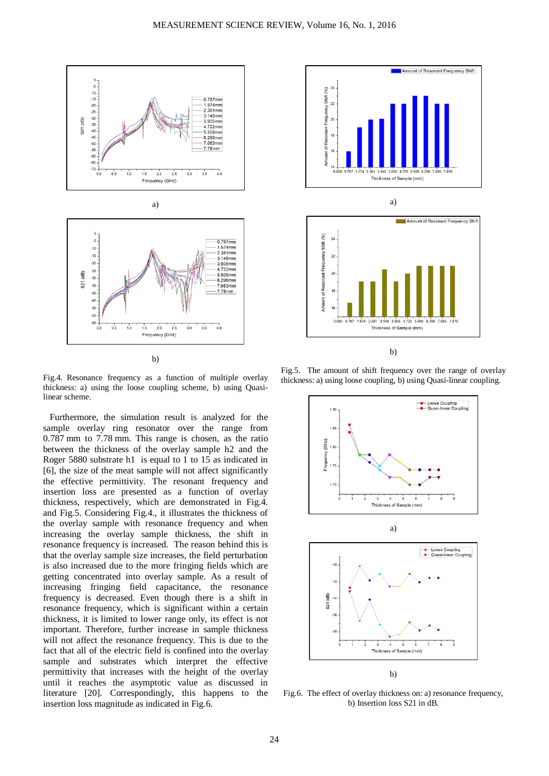



b)

Fig.4. Resonance frequency as a function of multiple overlay thickness: a) using the loose coupling scheme, b) using Quasilinear scheme.

Furthermore, the simulation result is analyzed for the sample overlay ring resonator over the range from 0.787 mm to 7.78 mm. This range is chosen, as the ratio between the thickness of the overlay sample h2 and the Roger 5880 substrate h1 is equal to 1 to 15 as indicated in [6], the size of the meat sample will not affect significantly the effective permittivity. The resonant frequency and insertion loss are presented as a function of overlay thickness, respectively, which are demonstrated in Fig.4. and Fig.5. Considering Fig.4., it illustrates the thickness of the overlay sample with resonance frequency and when increasing the overlay sample thickness, the shift in resonance frequency is increased. The reason behind this is that the overlay sample size increases, the field perturbation is also increased due to the more fringing fields which are getting concentrated into overlay sample. As a result of increasing fringing field capacitance, the resonance frequency is decreased. Even though there is a shift in resonance frequency, which is significant within a certain thickness, it is limited to lower range only, its effect is not important. Therefore, further increase in sample thickness will not affect the resonance frequency. This is due to the fact that all of the electric field is confined into the overlay sample and substrates which interpret the effective permittivity that increases with the height of the overlay until it reaches the asymptotic value as discussed in literature [20]. Correspondingly, this happens to the insertion loss magnitude as indicated in Fig.6.





Fig.5. The amount of shift frequency over the range of overlay thickness: a) using loose coupling, b) using Quasi-linear coupling.



Fig.6. The effect of overlay thickness on: a) resonance frequency, b) Insertion loss S21 in dB.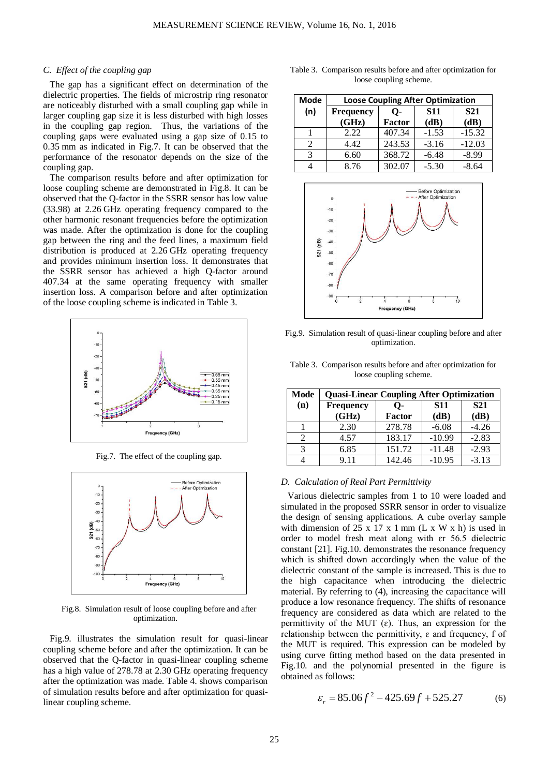#### *C. Effect of the coupling gap*

The gap has a significant effect on determination of the dielectric properties. The fields of microstrip ring resonator are noticeably disturbed with a small coupling gap while in larger coupling gap size it is less disturbed with high losses in the coupling gap region. Thus, the variations of the coupling gaps were evaluated using a gap size of 0.15 to 0.35 mm as indicated in Fig.7. It can be observed that the performance of the resonator depends on the size of the coupling gap.

The comparison results before and after optimization for loose coupling scheme are demonstrated in Fig.8. It can be observed that the Q-factor in the SSRR sensor has low value (33.98) at 2.26 GHz operating frequency compared to the other harmonic resonant frequencies before the optimization was made. After the optimization is done for the coupling gap between the ring and the feed lines, a maximum field distribution is produced at 2.26 GHz operating frequency and provides minimum insertion loss. It demonstrates that the SSRR sensor has achieved a high Q-factor around 407.34 at the same operating frequency with smaller insertion loss. A comparison before and after optimization of the loose coupling scheme is indicated in Table 3.



Fig.7. The effect of the coupling gap.



Fig.8. Simulation result of loose coupling before and after optimization.

Fig.9. illustrates the simulation result for quasi-linear coupling scheme before and after the optimization. It can be observed that the Q-factor in quasi-linear coupling scheme has a high value of 278.78 at 2.30 GHz operating frequency after the optimization was made. Table 4. shows comparison of simulation results before and after optimization for quasilinear coupling scheme.

| Mode | <b>Loose Coupling After Optimization</b> |                     |                    |                    |
|------|------------------------------------------|---------------------|--------------------|--------------------|
| (n)  | Frequency<br>(GHz)                       | О-<br><b>Factor</b> | <b>S11</b><br>(dB) | <b>S21</b><br>(dB) |
|      | 2.22                                     | 407.34              | $-1.53$            | $-15.32$           |
|      | 4.42                                     | 243.53              | $-3.16$            | $-12.03$           |
|      |                                          |                     |                    | -8.99              |

4 8.76 302.07 -5.30 -8.64

Table 3. Comparison results before and after optimization for loose coupling scheme.



Fig.9. Simulation result of quasi-linear coupling before and after optimization.

| Table 3. Comparison results before and after optimization for |  |
|---------------------------------------------------------------|--|
| loose coupling scheme.                                        |  |

| Mode | <b>Quasi-Linear Coupling After Optimization</b> |               |            |            |
|------|-------------------------------------------------|---------------|------------|------------|
| (n)  | <b>Frequency</b>                                | О-            | <b>S11</b> | <b>S21</b> |
|      | (GHz)                                           | <b>Factor</b> | (dB)       | (dB)       |
|      | 2.30                                            | 278.78        | $-6.08$    | $-4.26$    |
| 2    | 4.57                                            | 183.17        | $-10.99$   | $-2.83$    |
| 3    | 6.85                                            | 151.72        | $-11.48$   | $-2.93$    |
|      | 9.11                                            | 142.46        | $-10.95$   | $-3.13$    |

### *D. Calculation of Real Part Permittivity*

Various dielectric samples from 1 to 10 were loaded and simulated in the proposed SSRR sensor in order to visualize the design of sensing applications. A cube overlay sample with dimension of 25 x 17 x 1 mm  $(L \times W \times h)$  is used in order to model fresh meat along with ɛr 56.5 dielectric constant [21]. Fig.10. demonstrates the resonance frequency which is shifted down accordingly when the value of the dielectric constant of the sample is increased. This is due to the high capacitance when introducing the dielectric material. By referring to (4), increasing the capacitance will produce a low resonance frequency. The shifts of resonance frequency are considered as data which are related to the permittivity of the MUT  $(\varepsilon)$ . Thus, an expression for the relationship between the permittivity,  $\varepsilon$  and frequency, f of the MUT is required. This expression can be modeled by using curve fitting method based on the data presented in Fig.10. and the polynomial presented in the figure is obtained as follows:

$$
\varepsilon_r = 85.06f^2 - 425.69f + 525.27\tag{6}
$$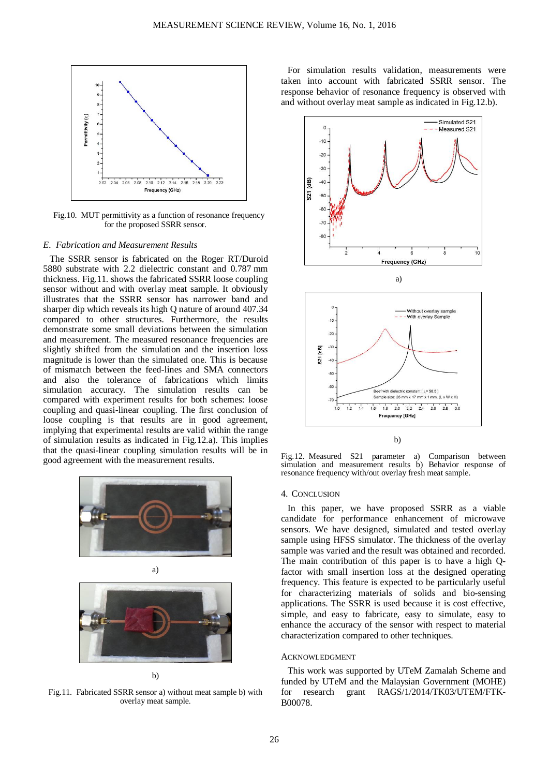

Fig.10. MUT permittivity as a function of resonance frequency for the proposed SSRR sensor.

#### *E. Fabrication and Measurement Results*

The SSRR sensor is fabricated on the Roger RT/Duroid 5880 substrate with 2.2 dielectric constant and 0.787 mm thickness. Fig.11. shows the fabricated SSRR loose coupling sensor without and with overlay meat sample. It obviously illustrates that the SSRR sensor has narrower band and sharper dip which reveals its high Q nature of around 407.34 compared to other structures. Furthermore, the results demonstrate some small deviations between the simulation and measurement. The measured resonance frequencies are slightly shifted from the simulation and the insertion loss magnitude is lower than the simulated one. This is because of mismatch between the feed-lines and SMA connectors and also the tolerance of fabrications which limits simulation accuracy. The simulation results can be compared with experiment results for both schemes: loose coupling and quasi-linear coupling. The first conclusion of loose coupling is that results are in good agreement, implying that experimental results are valid within the range of simulation results as indicated in Fig.12.a). This implies that the quasi-linear coupling simulation results will be in good agreement with the measurement results.





b)

Fig.11. Fabricated SSRR sensor a) without meat sample b) with overlay meat sample.

For simulation results validation, measurements were taken into account with fabricated SSRR sensor. The response behavior of resonance frequency is observed with and without overlay meat sample as indicated in Fig.12.b).



Fig.12. Measured S21 parameter a) Comparison between simulation and measurement results b) Behavior response of resonance frequency with/out overlay fresh meat sample.

#### 4. CONCLUSION

In this paper, we have proposed SSRR as a viable candidate for performance enhancement of microwave sensors. We have designed, simulated and tested overlay sample using HFSS simulator. The thickness of the overlay sample was varied and the result was obtained and recorded. The main contribution of this paper is to have a high Qfactor with small insertion loss at the designed operating frequency. This feature is expected to be particularly useful for characterizing materials of solids and bio-sensing applications. The SSRR is used because it is cost effective, simple, and easy to fabricate, easy to simulate, easy to enhance the accuracy of the sensor with respect to material characterization compared to other techniques.

#### ACKNOWLEDGMENT

This work was supported by UTeM Zamalah Scheme and funded by UTeM and the Malaysian Government (MOHE) for research grant RAGS/1/2014/TK03/UTEM/FTK-B00078.